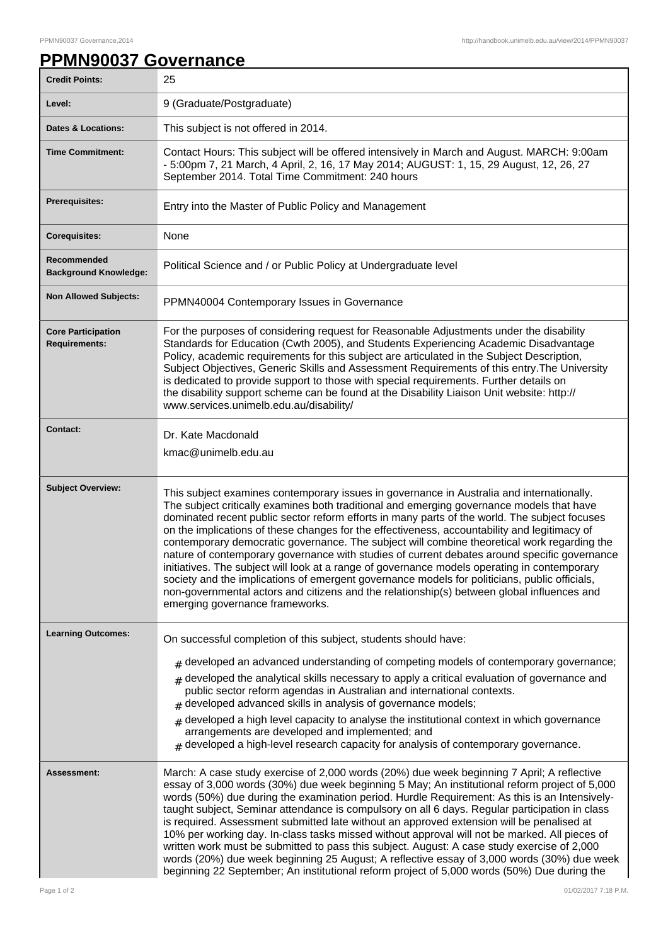## **PPMN90037 Governance**

| <b>Credit Points:</b>                             | 25                                                                                                                                                                                                                                                                                                                                                                                                                                                                                                                                                                                                                                                                                                                                                                                                                                                                                                                       |
|---------------------------------------------------|--------------------------------------------------------------------------------------------------------------------------------------------------------------------------------------------------------------------------------------------------------------------------------------------------------------------------------------------------------------------------------------------------------------------------------------------------------------------------------------------------------------------------------------------------------------------------------------------------------------------------------------------------------------------------------------------------------------------------------------------------------------------------------------------------------------------------------------------------------------------------------------------------------------------------|
| Level:                                            | 9 (Graduate/Postgraduate)                                                                                                                                                                                                                                                                                                                                                                                                                                                                                                                                                                                                                                                                                                                                                                                                                                                                                                |
| <b>Dates &amp; Locations:</b>                     | This subject is not offered in 2014.                                                                                                                                                                                                                                                                                                                                                                                                                                                                                                                                                                                                                                                                                                                                                                                                                                                                                     |
| <b>Time Commitment:</b>                           | Contact Hours: This subject will be offered intensively in March and August. MARCH: 9:00am<br>- 5:00pm 7, 21 March, 4 April, 2, 16, 17 May 2014; AUGUST: 1, 15, 29 August, 12, 26, 27<br>September 2014. Total Time Commitment: 240 hours                                                                                                                                                                                                                                                                                                                                                                                                                                                                                                                                                                                                                                                                                |
| Prerequisites:                                    | Entry into the Master of Public Policy and Management                                                                                                                                                                                                                                                                                                                                                                                                                                                                                                                                                                                                                                                                                                                                                                                                                                                                    |
| <b>Corequisites:</b>                              | None                                                                                                                                                                                                                                                                                                                                                                                                                                                                                                                                                                                                                                                                                                                                                                                                                                                                                                                     |
| Recommended<br><b>Background Knowledge:</b>       | Political Science and / or Public Policy at Undergraduate level                                                                                                                                                                                                                                                                                                                                                                                                                                                                                                                                                                                                                                                                                                                                                                                                                                                          |
| <b>Non Allowed Subjects:</b>                      | PPMN40004 Contemporary Issues in Governance                                                                                                                                                                                                                                                                                                                                                                                                                                                                                                                                                                                                                                                                                                                                                                                                                                                                              |
| <b>Core Participation</b><br><b>Requirements:</b> | For the purposes of considering request for Reasonable Adjustments under the disability<br>Standards for Education (Cwth 2005), and Students Experiencing Academic Disadvantage<br>Policy, academic requirements for this subject are articulated in the Subject Description,<br>Subject Objectives, Generic Skills and Assessment Requirements of this entry. The University<br>is dedicated to provide support to those with special requirements. Further details on<br>the disability support scheme can be found at the Disability Liaison Unit website: http://<br>www.services.unimelb.edu.au/disability/                                                                                                                                                                                                                                                                                                         |
| <b>Contact:</b>                                   | Dr. Kate Macdonald<br>kmac@unimelb.edu.au                                                                                                                                                                                                                                                                                                                                                                                                                                                                                                                                                                                                                                                                                                                                                                                                                                                                                |
| <b>Subject Overview:</b>                          | This subject examines contemporary issues in governance in Australia and internationally.<br>The subject critically examines both traditional and emerging governance models that have<br>dominated recent public sector reform efforts in many parts of the world. The subject focuses<br>on the implications of these changes for the effectiveness, accountability and legitimacy of<br>contemporary democratic governance. The subject will combine theoretical work regarding the<br>nature of contemporary governance with studies of current debates around specific governance<br>initiatives. The subject will look at a range of governance models operating in contemporary<br>society and the implications of emergent governance models for politicians, public officials,<br>non-governmental actors and citizens and the relationship(s) between global influences and<br>emerging governance frameworks. |
| <b>Learning Outcomes:</b>                         | On successful completion of this subject, students should have:                                                                                                                                                                                                                                                                                                                                                                                                                                                                                                                                                                                                                                                                                                                                                                                                                                                          |
|                                                   | $#$ developed an advanced understanding of competing models of contemporary governance;<br>developed the analytical skills necessary to apply a critical evaluation of governance and<br>public sector reform agendas in Australian and international contexts.<br>developed advanced skills in analysis of governance models;<br>#<br>developed a high level capacity to analyse the institutional context in which governance<br>#<br>arrangements are developed and implemented; and<br>$#$ developed a high-level research capacity for analysis of contemporary governance.                                                                                                                                                                                                                                                                                                                                         |
| <b>Assessment:</b>                                | March: A case study exercise of 2,000 words (20%) due week beginning 7 April; A reflective<br>essay of 3,000 words (30%) due week beginning 5 May; An institutional reform project of 5,000<br>words (50%) due during the examination period. Hurdle Requirement: As this is an Intensively-<br>taught subject, Seminar attendance is compulsory on all 6 days. Regular participation in class<br>is required. Assessment submitted late without an approved extension will be penalised at<br>10% per working day. In-class tasks missed without approval will not be marked. All pieces of<br>written work must be submitted to pass this subject. August: A case study exercise of 2,000<br>words (20%) due week beginning 25 August; A reflective essay of 3,000 words (30%) due week<br>beginning 22 September; An institutional reform project of 5,000 words (50%) Due during the                                 |